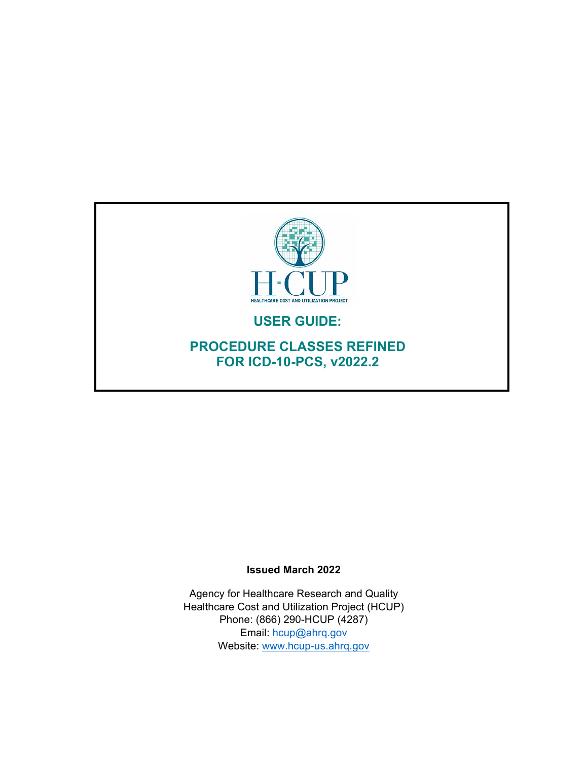

#### **Issued March 2022**

Agency for Healthcare Research and Quality Healthcare Cost and Utilization Project (HCUP) Phone: (866) 290-HCUP (4287) Email: [hcup@ahrq.gov](mailto:hcup@ahrq.gov) Website: [www.hcup-us.ahrq.gov](http://www.hcup-us.ahrq.gov/)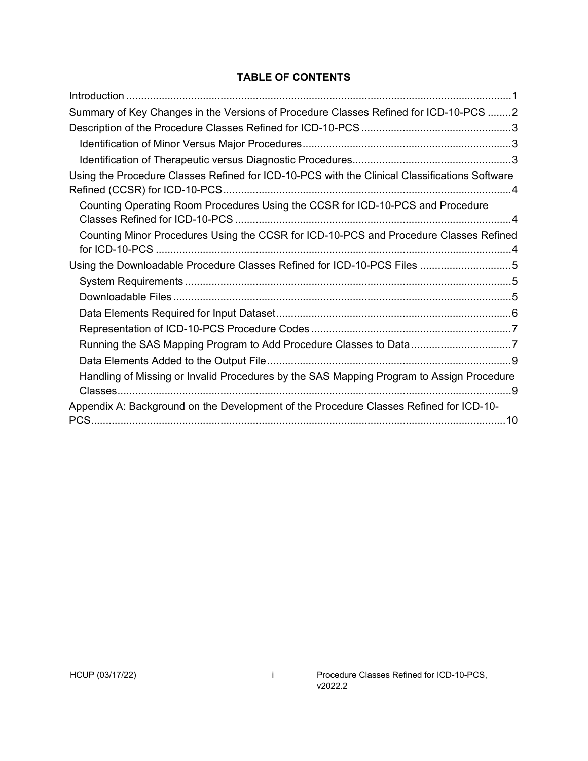# **TABLE OF CONTENTS**

| Summary of Key Changes in the Versions of Procedure Classes Refined for ICD-10-PCS 2          |
|-----------------------------------------------------------------------------------------------|
|                                                                                               |
|                                                                                               |
|                                                                                               |
| Using the Procedure Classes Refined for ICD-10-PCS with the Clinical Classifications Software |
| Counting Operating Room Procedures Using the CCSR for ICD-10-PCS and Procedure                |
| Counting Minor Procedures Using the CCSR for ICD-10-PCS and Procedure Classes Refined         |
| Using the Downloadable Procedure Classes Refined for ICD-10-PCS Files 5                       |
|                                                                                               |
|                                                                                               |
|                                                                                               |
|                                                                                               |
| Running the SAS Mapping Program to Add Procedure Classes to Data 7                            |
|                                                                                               |
| Handling of Missing or Invalid Procedures by the SAS Mapping Program to Assign Procedure      |
| Appendix A: Background on the Development of the Procedure Classes Refined for ICD-10-        |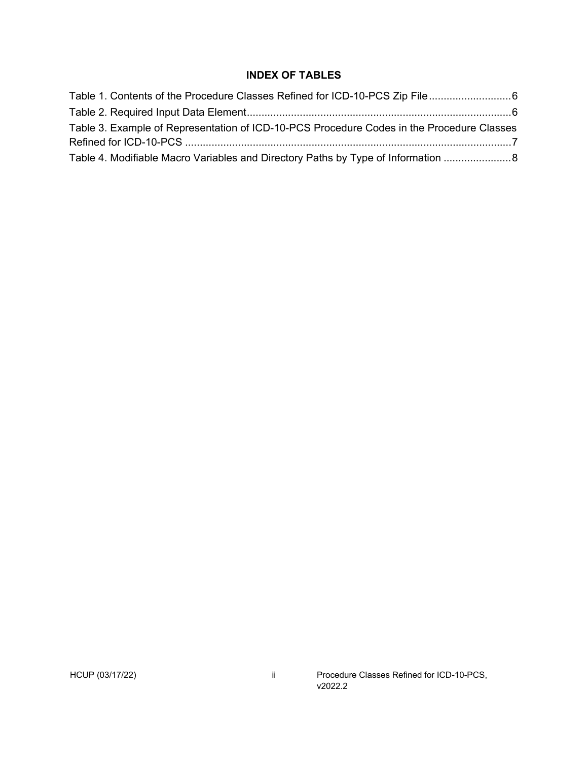## **INDEX OF TABLES**

| Table 3. Example of Representation of ICD-10-PCS Procedure Codes in the Procedure Classes |  |
|-------------------------------------------------------------------------------------------|--|
|                                                                                           |  |
| Table 4. Modifiable Macro Variables and Directory Paths by Type of Information  8         |  |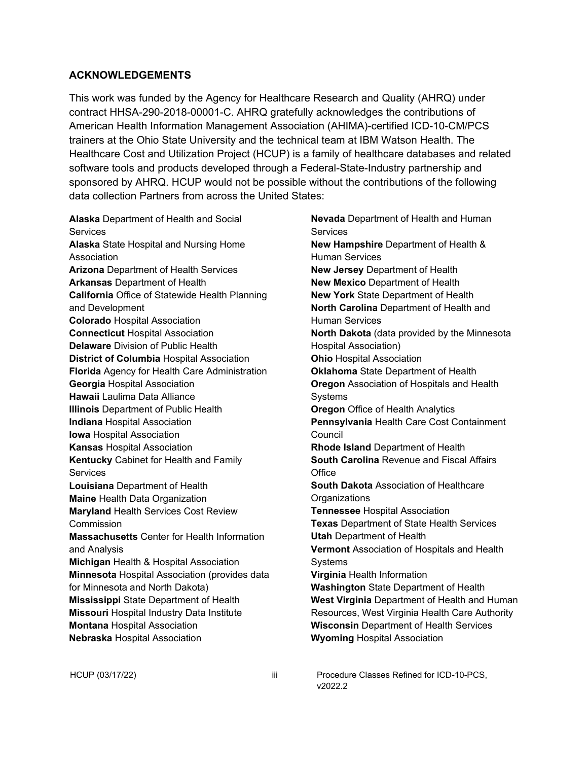#### **ACKNOWLEDGEMENTS**

This work was funded by the Agency for Healthcare Research and Quality (AHRQ) under contract HHSA-290-2018-00001-C. AHRQ gratefully acknowledges the contributions of American Health Information Management Association (AHIMA)-certified ICD-10-CM/PCS trainers at the Ohio State University and the technical team at IBM Watson Health. The Healthcare Cost and Utilization Project (HCUP) is a family of healthcare databases and related software tools and products developed through a Federal-State-Industry partnership and sponsored by AHRQ. HCUP would not be possible without the contributions of the following data collection Partners from across the United States:

**Alaska** Department of Health and Social **Services Alaska** State Hospital and Nursing Home Association **Arizona** Department of Health Services **Arkansas** Department of Health **California** Office of Statewide Health Planning and Development **Colorado** Hospital Association **Connecticut** Hospital Association **Delaware** Division of Public Health **District of Columbia** Hospital Association **Florida** Agency for Health Care Administration **Georgia** Hospital Association **Hawaii** Laulima Data Alliance **Illinois** Department of Public Health **Indiana** Hospital Association **Iowa** Hospital Association **Kansas** Hospital Association **Kentucky** Cabinet for Health and Family **Services Louisiana** Department of Health **Maine** Health Data Organization **Maryland** Health Services Cost Review Commission **Massachusetts** Center for Health Information and Analysis **Michigan** Health & Hospital Association **Minnesota** Hospital Association (provides data for Minnesota and North Dakota) **Mississippi** State Department of Health **Missouri** Hospital Industry Data Institute **Montana** Hospital Association **Nebraska** Hospital Association

**Nevada** Department of Health and Human **Services New Hampshire** Department of Health & Human Services **New Jersey** Department of Health **New Mexico** Department of Health **New York** State Department of Health **North Carolina** Department of Health and Human Services **North Dakota** (data provided by the Minnesota Hospital Association) **Ohio** Hospital Association **Oklahoma** State Department of Health **Oregon** Association of Hospitals and Health Systems **Oregon** Office of Health Analytics **Pennsylvania** Health Care Cost Containment Council **Rhode Island** Department of Health **South Carolina** Revenue and Fiscal Affairs **Office South Dakota** Association of Healthcare **Organizations Tennessee** Hospital Association **Texas** Department of State Health Services **Utah** Department of Health **Vermont** Association of Hospitals and Health **Systems Virginia** Health Information **Washington** State Department of Health **West Virginia** Department of Health and Human Resources, West Virginia Health Care Authority **Wisconsin** Department of Health Services **Wyoming** Hospital Association

HCUP (03/17/22) **iii** Procedure Classes Refined for ICD-10-PCS, v<sub>2022</sub>.2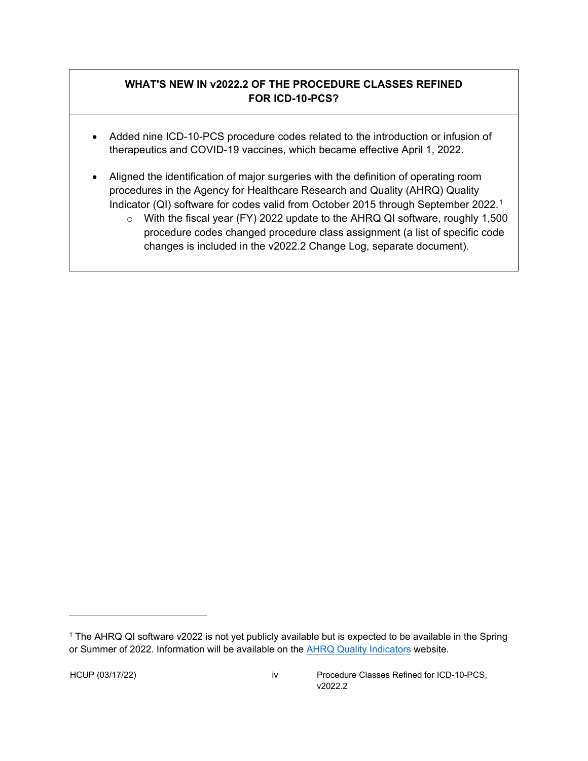# **WHAT'S NEW IN v2022.2 OF THE PROCEDURE CLASSES REFINED FOR ICD-10-PCS?**

- Added nine ICD-10-PCS procedure codes related to the introduction or infusion of therapeutics and COVID-19 vaccines, which became effective April 1, 2022.
- Aligned the identification of major surgeries with the definition of operating room procedures in the Agency for Healthcare Research and Quality (AHRQ) Quality Indicator (QI) software for codes valid from October 2015 through September 2022.[1](#page-4-0)
	- o With the fiscal year (FY) 2022 update to the AHRQ QI software, roughly 1,500 procedure codes changed procedure class assignment (a list of specific code changes is included in the v2022.2 Change Log, separate document).

<span id="page-4-0"></span><sup>&</sup>lt;sup>1</sup> The AHRQ QI software v2022 is not yet publicly available but is expected to be available in the Spring or Summer of 2022. Information will be available on the **AHRQ Quality Indicators website.** 

HCUP (03/17/22) iv Procedure Classes Refined for ICD-10-PCS, v<sub>2022</sub>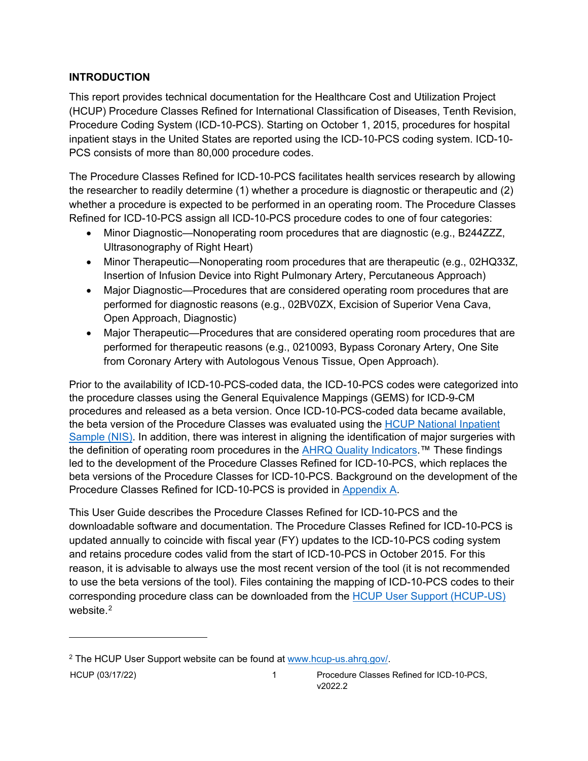# <span id="page-5-0"></span>**INTRODUCTION**

This report provides technical documentation for the Healthcare Cost and Utilization Project (HCUP) Procedure Classes Refined for International Classification of Diseases, Tenth Revision, Procedure Coding System (ICD-10-PCS). Starting on October 1, 2015, procedures for hospital inpatient stays in the United States are reported using the ICD-10-PCS coding system. ICD-10- PCS consists of more than 80,000 procedure codes.

The Procedure Classes Refined for ICD-10-PCS facilitates health services research by allowing the researcher to readily determine (1) whether a procedure is diagnostic or therapeutic and (2) whether a procedure is expected to be performed in an operating room. The Procedure Classes Refined for ICD-10-PCS assign all ICD-10-PCS procedure codes to one of four categories:

- Minor Diagnostic—Nonoperating room procedures that are diagnostic (e.g., B244ZZZ, Ultrasonography of Right Heart)
- Minor Therapeutic—Nonoperating room procedures that are therapeutic (e.g., 02HQ33Z, Insertion of Infusion Device into Right Pulmonary Artery, Percutaneous Approach)
- Major Diagnostic—Procedures that are considered operating room procedures that are performed for diagnostic reasons (e.g., 02BV0ZX, Excision of Superior Vena Cava, Open Approach, Diagnostic)
- Major Therapeutic—Procedures that are considered operating room procedures that are performed for therapeutic reasons (e.g., 0210093, Bypass Coronary Artery, One Site from Coronary Artery with Autologous Venous Tissue, Open Approach).

Prior to the availability of ICD-10-PCS-coded data, the ICD-10-PCS codes were categorized into the procedure classes using the General Equivalence Mappings (GEMS) for ICD-9-CM procedures and released as a beta version. Once ICD-10-PCS-coded data became available, the beta version of the Procedure Classes was evaluated using the [HCUP National](https://www.hcup-us.ahrq.gov/sidoverview.jsp) Inpatient [Sample](https://www.hcup-us.ahrq.gov/sidoverview.jsp) (NIS). In addition, there was interest in aligning the identification of major surgeries with the definition of operating room procedures in the [AHRQ Quality Indicators.](https://www.qualityindicators.ahrq.gov/)<sup>™</sup> These findings led to the development of the Procedure Classes Refined for ICD-10-PCS, which replaces the beta versions of the Procedure Classes for ICD-10-PCS. Background on the development of the Procedure Classes Refined for ICD-10-PCS is provided in [Appendix A.](#page-14-0)

This User Guide describes the Procedure Classes Refined for ICD-10-PCS and the downloadable software and documentation. The Procedure Classes Refined for ICD-10-PCS is updated annually to coincide with fiscal year (FY) updates to the ICD-10-PCS coding system and retains procedure codes valid from the start of ICD-10-PCS in October 2015. For this reason, it is advisable to always use the most recent version of the tool (it is not recommended to use the beta versions of the tool). Files containing the mapping of ICD-10-PCS codes to their corresponding procedure class can be downloaded from the [HCUP User Support \(HCUP-US\)](http://www.hcup-us.ahrq.gov/) website.<sup>[2](#page-5-1)</sup>

<span id="page-5-1"></span><sup>2</sup> The HCUP User Support website can be found at [www.hcup-us.ahrq.gov/.](http://www.hcup-us.ahrq.gov/)

HCUP (03/17/22) 1 Procedure Classes Refined for ICD-10-PCS, v<sub>2022</sub>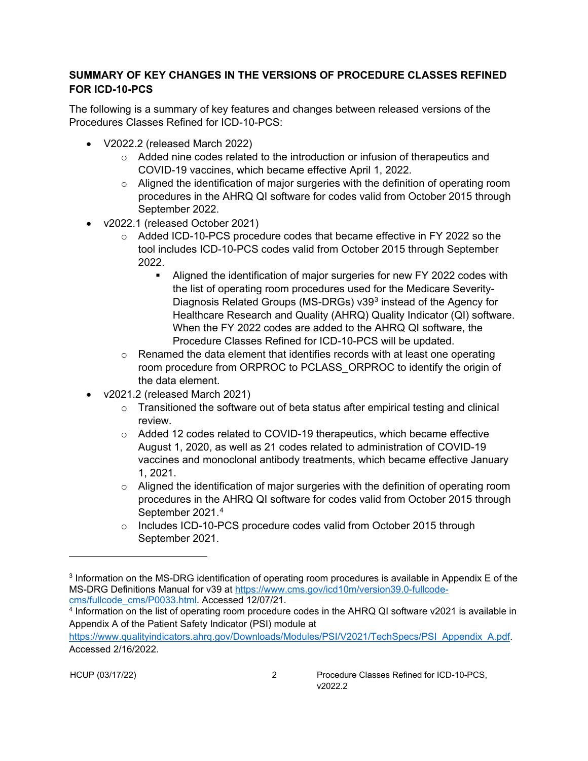### <span id="page-6-0"></span>**SUMMARY OF KEY CHANGES IN THE VERSIONS OF PROCEDURE CLASSES REFINED FOR ICD-10-PCS**

The following is a summary of key features and changes between released versions of the Procedures Classes Refined for ICD-10-PCS:

- V2022.2 (released March 2022)
	- o Added nine codes related to the introduction or infusion of therapeutics and COVID-19 vaccines, which became effective April 1, 2022.
	- $\circ$  Aligned the identification of major surgeries with the definition of operating room procedures in the AHRQ QI software for codes valid from October 2015 through September 2022.
- v2022.1 (released October 2021)
	- $\circ$  Added ICD-10-PCS procedure codes that became effective in FY 2022 so the tool includes ICD-10-PCS codes valid from October 2015 through September 2022.
		- Aligned the identification of major surgeries for new FY 2022 codes with the list of operating room procedures used for the Medicare Severity-Diagnosis Related Groups (MS-DRGs) v39[3](#page-6-1) instead of the Agency for Healthcare Research and Quality (AHRQ) Quality Indicator (QI) software. When the FY 2022 codes are added to the AHRQ QI software, the Procedure Classes Refined for ICD-10-PCS will be updated.
	- $\circ$  Renamed the data element that identifies records with at least one operating room procedure from ORPROC to PCLASS\_ORPROC to identify the origin of the data element.
- v2021.2 (released March 2021)
	- $\circ$  Transitioned the software out of beta status after empirical testing and clinical review.
	- $\circ$  Added 12 codes related to COVID-19 therapeutics, which became effective August 1, 2020, as well as 21 codes related to administration of COVID-19 vaccines and monoclonal antibody treatments, which became effective January 1, 2021.
	- $\circ$  Aligned the identification of major surgeries with the definition of operating room procedures in the AHRQ QI software for codes valid from October 2015 through September 2021.[4](#page-6-2)
	- o Includes ICD-10-PCS procedure codes valid from October 2015 through September 2021.

<span id="page-6-1"></span><sup>3</sup> Information on the MS-DRG identification of operating room procedures is available in Appendix E of the MS-DRG Definitions Manual for v39 at [https://www.cms.gov/icd10m/version39.0-fullcode](https://www.cms.gov/icd10m/version39.0-fullcode-cms/fullcode_cms/P0033.html)[cms/fullcode\\_cms/P0033.html.](https://www.cms.gov/icd10m/version39.0-fullcode-cms/fullcode_cms/P0033.html) Accessed 12/07/21.

<span id="page-6-2"></span><sup>4</sup> Information on the list of operating room procedure codes in the AHRQ QI software v2021 is available in Appendix A of the Patient Safety Indicator (PSI) module at

[https://www.qualityindicators.ahrq.gov/Downloads/Modules/PSI/V2021/TechSpecs/PSI\\_Appendix\\_A.pdf.](https://www.qualityindicators.ahrq.gov/Downloads/Modules/PSI/V2021/TechSpecs/PSI_Appendix_A.pdf) Accessed 2/16/2022.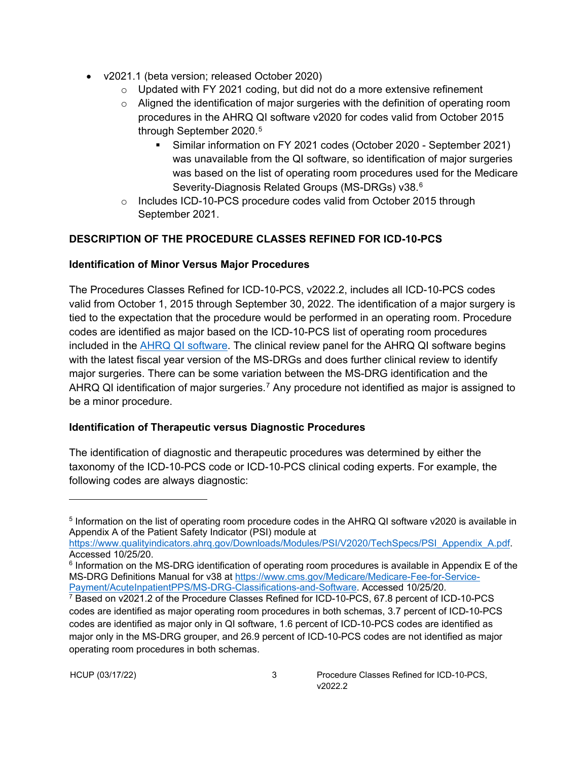- v2021.1 (beta version; released October 2020)
	- $\circ$  Updated with FY 2021 coding, but did not do a more extensive refinement
	- $\circ$  Aligned the identification of major surgeries with the definition of operating room procedures in the AHRQ QI software v2020 for codes valid from October 2015 through September 2020.[5](#page-7-3)
		- Similar information on FY 2021 codes (October 2020 September 2021) was unavailable from the QI software, so identification of major surgeries was based on the list of operating room procedures used for the Medicare Severity-Diagnosis Related Groups (MS-DRGs) v38.[6](#page-7-4)
	- o Includes ICD-10-PCS procedure codes valid from October 2015 through September 2021.

## <span id="page-7-0"></span>**DESCRIPTION OF THE PROCEDURE CLASSES REFINED FOR ICD-10-PCS**

### <span id="page-7-1"></span>**Identification of Minor Versus Major Procedures**

The Procedures Classes Refined for ICD-10-PCS, v2022.2, includes all ICD-10-PCS codes valid from October 1, 2015 through September 30, 2022. The identification of a major surgery is tied to the expectation that the procedure would be performed in an operating room. Procedure codes are identified as major based on the ICD-10-PCS list of operating room procedures included in the [AHRQ QI software.](https://www.qualityindicators.ahrq.gov/Default.aspx) The clinical review panel for the AHRQ QI software begins with the latest fiscal year version of the MS-DRGs and does further clinical review to identify major surgeries. There can be some variation between the MS-DRG identification and the AHRQ QI identification of major surgeries.[7](#page-7-5) Any procedure not identified as major is assigned to be a minor procedure.

### <span id="page-7-2"></span>**Identification of Therapeutic versus Diagnostic Procedures**

The identification of diagnostic and therapeutic procedures was determined by either the taxonomy of the ICD-10-PCS code or ICD-10-PCS clinical coding experts. For example, the following codes are always diagnostic:

<span id="page-7-3"></span><sup>5</sup> Information on the list of operating room procedure codes in the AHRQ QI software v2020 is available in Appendix A of the Patient Safety Indicator (PSI) module at

[https://www.qualityindicators.ahrq.gov/Downloads/Modules/PSI/V2020/TechSpecs/PSI\\_Appendix\\_A.pdf.](https://www.qualityindicators.ahrq.gov/Downloads/Modules/PSI/V2020/TechSpecs/PSI_Appendix_A.pdf) Accessed 10/25/20.

<span id="page-7-4"></span> $6$  Information on the MS-DRG identification of operating room procedures is available in Appendix E of the MS-DRG Definitions Manual for v38 at [https://www.cms.gov/Medicare/Medicare-Fee-for-Service-](https://www.cms.gov/Medicare/Medicare-Fee-for-Service-Payment/AcuteInpatientPPS/MS-DRG-Classifications-and-Software)[Payment/AcuteInpatientPPS/MS-DRG-Classifications-and-Software.](https://www.cms.gov/Medicare/Medicare-Fee-for-Service-Payment/AcuteInpatientPPS/MS-DRG-Classifications-and-Software) Accessed 10/25/20.

<span id="page-7-5"></span><sup>7</sup> Based on v2021.2 of the Procedure Classes Refined for ICD-10-PCS, 67.8 percent of ICD-10-PCS codes are identified as major operating room procedures in both schemas, 3.7 percent of ICD-10-PCS codes are identified as major only in QI software, 1.6 percent of ICD-10-PCS codes are identified as major only in the MS-DRG grouper, and 26.9 percent of ICD-10-PCS codes are not identified as major operating room procedures in both schemas.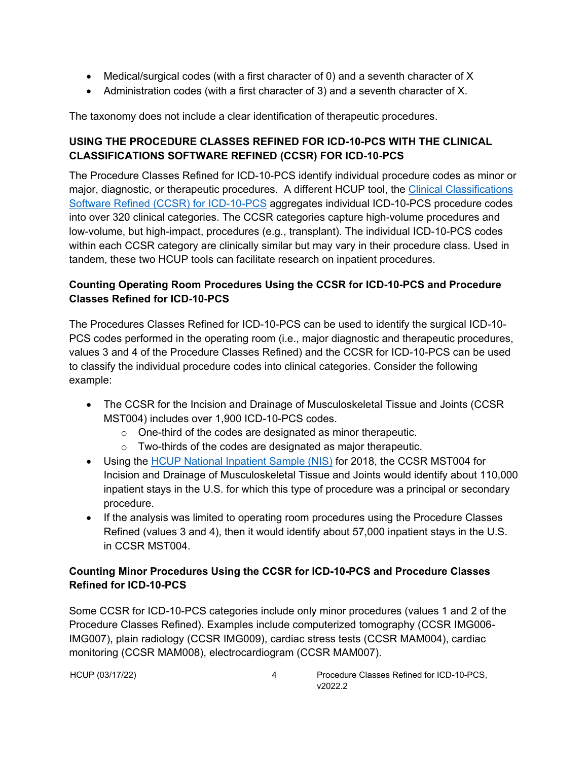- Medical/surgical codes (with a first character of 0) and a seventh character of X
- Administration codes (with a first character of 3) and a seventh character of X.

The taxonomy does not include a clear identification of therapeutic procedures.

## <span id="page-8-0"></span>**USING THE PROCEDURE CLASSES REFINED FOR ICD-10-PCS WITH THE CLINICAL CLASSIFICATIONS SOFTWARE REFINED (CCSR) FOR ICD-10-PCS**

The Procedure Classes Refined for ICD-10-PCS identify individual procedure codes as minor or major, diagnostic, or therapeutic procedures. A different HCUP tool, the Clinical Classifications [Software Refined \(CCSR\) for ICD-10-PCS](https://www.hcup-us.ahrq.gov/toolssoftware/ccsr/prccsr.jsp) aggregates individual ICD-10-PCS procedure codes into over 320 clinical categories. The CCSR categories capture high-volume procedures and low-volume, but high-impact, procedures (e.g., transplant). The individual ICD-10-PCS codes within each CCSR category are clinically similar but may vary in their procedure class. Used in tandem, these two HCUP tools can facilitate research on inpatient procedures.

## <span id="page-8-1"></span>**Counting Operating Room Procedures Using the CCSR for ICD-10-PCS and Procedure Classes Refined for ICD-10-PCS**

The Procedures Classes Refined for ICD-10-PCS can be used to identify the surgical ICD-10- PCS codes performed in the operating room (i.e., major diagnostic and therapeutic procedures, values 3 and 4 of the Procedure Classes Refined) and the CCSR for ICD-10-PCS can be used to classify the individual procedure codes into clinical categories. Consider the following example:

- The CCSR for the Incision and Drainage of Musculoskeletal Tissue and Joints (CCSR MST004) includes over 1,900 ICD-10-PCS codes.
	- $\circ$  One-third of the codes are designated as minor therapeutic.
	- o Two-thirds of the codes are designated as major therapeutic.
- Using the [HCUP National Inpatient Sample \(NIS\)](https://www.hcup-us.ahrq.gov/nisoverview.jsp) for 2018, the CCSR MST004 for Incision and Drainage of Musculoskeletal Tissue and Joints would identify about 110,000 inpatient stays in the U.S. for which this type of procedure was a principal or secondary procedure.
- If the analysis was limited to operating room procedures using the Procedure Classes Refined (values 3 and 4), then it would identify about 57,000 inpatient stays in the U.S. in CCSR MST004.

## <span id="page-8-2"></span>**Counting Minor Procedures Using the CCSR for ICD-10-PCS and Procedure Classes Refined for ICD-10-PCS**

Some CCSR for ICD-10-PCS categories include only minor procedures (values 1 and 2 of the Procedure Classes Refined). Examples include computerized tomography (CCSR IMG006- IMG007), plain radiology (CCSR IMG009), cardiac stress tests (CCSR MAM004), cardiac monitoring (CCSR MAM008), electrocardiogram (CCSR MAM007).

HCUP (03/17/22) 4 Procedure Classes Refined for ICD-10-PCS, v<sub>2022</sub>.2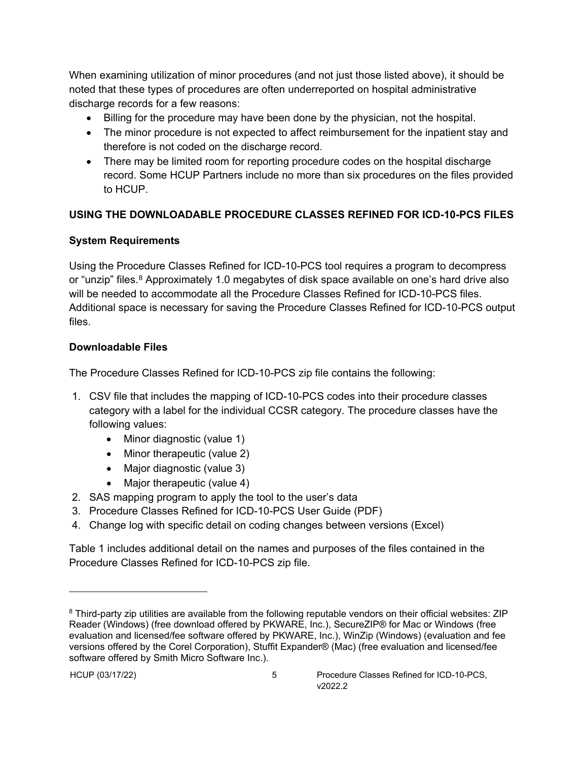When examining utilization of minor procedures (and not just those listed above), it should be noted that these types of procedures are often underreported on hospital administrative discharge records for a few reasons:

- Billing for the procedure may have been done by the physician, not the hospital.
- The minor procedure is not expected to affect reimbursement for the inpatient stay and therefore is not coded on the discharge record.
- There may be limited room for reporting procedure codes on the hospital discharge record. Some HCUP Partners include no more than six procedures on the files provided to HCUP.

# <span id="page-9-0"></span>**USING THE DOWNLOADABLE PROCEDURE CLASSES REFINED FOR ICD-10-PCS FILES**

# <span id="page-9-1"></span>**System Requirements**

Using the Procedure Classes Refined for ICD-10-PCS tool requires a program to decompress or "unzip" files.<sup>[8](#page-9-3)</sup> Approximately 1.0 megabytes of disk space available on one's hard drive also will be needed to accommodate all the Procedure Classes Refined for ICD-10-PCS files. Additional space is necessary for saving the Procedure Classes Refined for ICD-10-PCS output files.

# <span id="page-9-2"></span>**Downloadable Files**

The Procedure Classes Refined for ICD-10-PCS zip file contains the following:

- 1. CSV file that includes the mapping of ICD-10-PCS codes into their procedure classes category with a label for the individual CCSR category. The procedure classes have the following values:
	- Minor diagnostic (value 1)
	- Minor therapeutic (value 2)
	- Major diagnostic (value 3)
	- Major therapeutic (value 4)
- 2. SAS mapping program to apply the tool to the user's data
- 3. Procedure Classes Refined for ICD-10-PCS User Guide (PDF)
- 4. Change log with specific detail on coding changes between versions (Excel)

Table 1 includes additional detail on the names and purposes of the files contained in the Procedure Classes Refined for ICD-10-PCS zip file.

<span id="page-9-3"></span><sup>&</sup>lt;sup>8</sup> Third-party zip utilities are available from the following reputable vendors on their official websites: ZIP Reader (Windows) (free download offered by PKWARE, Inc.), SecureZIP® for Mac or Windows (free evaluation and licensed/fee software offered by PKWARE, Inc.), WinZip (Windows) (evaluation and fee versions offered by the Corel Corporation), Stuffit Expander® (Mac) (free evaluation and licensed/fee software offered by Smith Micro Software Inc.).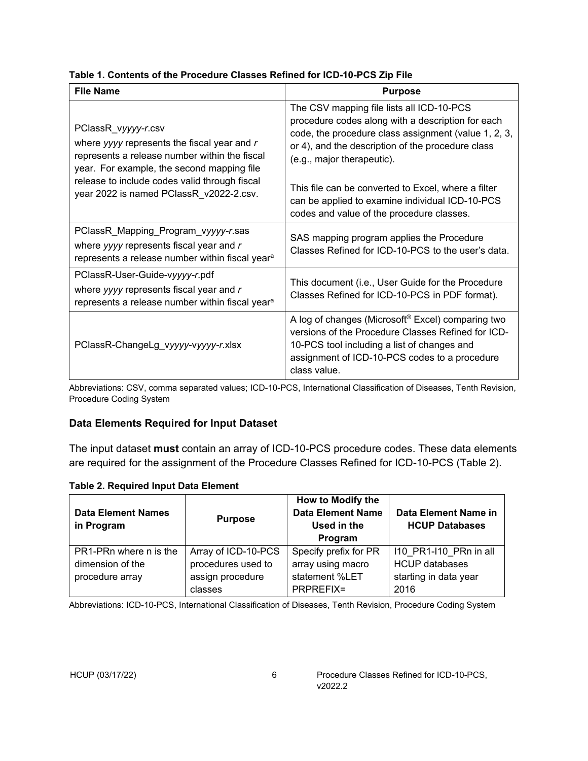| <b>File Name</b>                                                                                                                                                                                                                                                | <b>Purpose</b>                                                                                                                                                                                                                                                                                                                                                                                   |
|-----------------------------------------------------------------------------------------------------------------------------------------------------------------------------------------------------------------------------------------------------------------|--------------------------------------------------------------------------------------------------------------------------------------------------------------------------------------------------------------------------------------------------------------------------------------------------------------------------------------------------------------------------------------------------|
| PClassR_vyyyy-r.csv<br>where yyyy represents the fiscal year and $r$<br>represents a release number within the fiscal<br>year. For example, the second mapping file<br>release to include codes valid through fiscal<br>year 2022 is named PClassR_v2022-2.csv. | The CSV mapping file lists all ICD-10-PCS<br>procedure codes along with a description for each<br>code, the procedure class assignment (value 1, 2, 3,<br>or 4), and the description of the procedure class<br>(e.g., major therapeutic).<br>This file can be converted to Excel, where a filter<br>can be applied to examine individual ICD-10-PCS<br>codes and value of the procedure classes. |
| PClassR_Mapping_Program_vyyyy-r.sas<br>where yyyy represents fiscal year and r<br>represents a release number within fiscal year <sup>a</sup>                                                                                                                   | SAS mapping program applies the Procedure<br>Classes Refined for ICD-10-PCS to the user's data.                                                                                                                                                                                                                                                                                                  |
| PClassR-User-Guide-vyyyy-r.pdf<br>where yyyy represents fiscal year and r<br>represents a release number within fiscal year <sup>a</sup>                                                                                                                        | This document (i.e., User Guide for the Procedure<br>Classes Refined for ICD-10-PCS in PDF format).                                                                                                                                                                                                                                                                                              |
| PClassR-ChangeLg_vyyyy-vyyyy-r.xlsx                                                                                                                                                                                                                             | A log of changes (Microsoft® Excel) comparing two<br>versions of the Procedure Classes Refined for ICD-<br>10-PCS tool including a list of changes and<br>assignment of ICD-10-PCS codes to a procedure<br>class value.                                                                                                                                                                          |

# <span id="page-10-1"></span>**Table 1. Contents of the Procedure Classes Refined for ICD-10-PCS Zip File**

Abbreviations: CSV, comma separated values; ICD-10-PCS, International Classification of Diseases, Tenth Revision, Procedure Coding System

### <span id="page-10-0"></span>**Data Elements Required for Input Dataset**

The input dataset **must** contain an array of ICD-10-PCS procedure codes. These data elements are required for the assignment of the Procedure Classes Refined for ICD-10-PCS (Table 2).

#### <span id="page-10-2"></span>**Table 2. Required Input Data Element**

| <b>Data Element Names</b><br>in Program | <b>Purpose</b>      | How to Modify the<br><b>Data Element Name</b><br>Used in the<br>Program | Data Element Name in<br><b>HCUP Databases</b> |
|-----------------------------------------|---------------------|-------------------------------------------------------------------------|-----------------------------------------------|
| PR1-PRn where n is the                  | Array of ICD-10-PCS | Specify prefix for PR                                                   | 110 PR1-110 PRn in all                        |
| dimension of the                        | procedures used to  | array using macro                                                       | <b>HCUP</b> databases                         |
| procedure array                         | assign procedure    | statement %LET                                                          | starting in data year                         |
|                                         | classes             | PRPREFIX=                                                               | 2016                                          |

Abbreviations: ICD-10-PCS, International Classification of Diseases, Tenth Revision, Procedure Coding System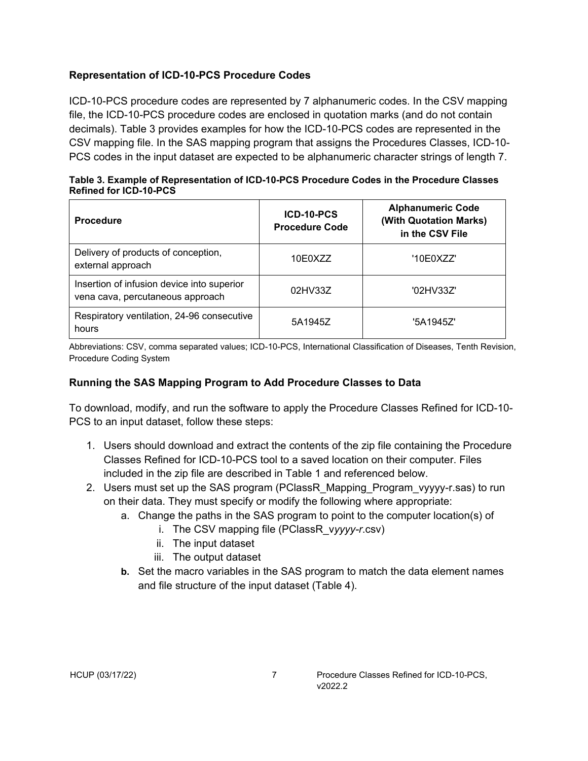### <span id="page-11-0"></span>**Representation of ICD-10-PCS Procedure Codes**

ICD-10-PCS procedure codes are represented by 7 alphanumeric codes. In the CSV mapping file, the ICD-10-PCS procedure codes are enclosed in quotation marks (and do not contain decimals). Table 3 provides examples for how the ICD-10-PCS codes are represented in the CSV mapping file. In the SAS mapping program that assigns the Procedures Classes, ICD-10- PCS codes in the input dataset are expected to be alphanumeric character strings of length 7.

<span id="page-11-2"></span>

| Table 3. Example of Representation of ICD-10-PCS Procedure Codes in the Procedure Classes |  |
|-------------------------------------------------------------------------------------------|--|
| <b>Refined for ICD-10-PCS</b>                                                             |  |

| <b>Procedure</b>                                                               | ICD-10-PCS<br><b>Procedure Code</b> | <b>Alphanumeric Code</b><br>(With Quotation Marks)<br>in the CSV File |
|--------------------------------------------------------------------------------|-------------------------------------|-----------------------------------------------------------------------|
| Delivery of products of conception,<br>external approach                       | 10E0XZZ                             | '10E0XZZ'                                                             |
| Insertion of infusion device into superior<br>vena cava, percutaneous approach | 02HV33Z                             | '02HV33Z'                                                             |
| Respiratory ventilation, 24-96 consecutive<br>hours                            | 5A1945Z                             | '5A1945Z'                                                             |

Abbreviations: CSV, comma separated values; ICD-10-PCS, International Classification of Diseases, Tenth Revision, Procedure Coding System

### <span id="page-11-1"></span>**Running the SAS Mapping Program to Add Procedure Classes to Data**

To download, modify, and run the software to apply the Procedure Classes Refined for ICD-10- PCS to an input dataset, follow these steps:

- 1. Users should download and extract the contents of the zip file containing the Procedure Classes Refined for ICD-10-PCS tool to a saved location on their computer. Files included in the zip file are described in Table 1 and referenced below.
- 2. Users must set up the SAS program (PClassR\_Mapping\_Program\_vyyyy-r.sas) to run on their data. They must specify or modify the following where appropriate:
	- a. Change the paths in the SAS program to point to the computer location(s) of
		- i. The CSV mapping file (PClassR\_v*yyyy-r*.csv)
		- ii. The input dataset
		- iii. The output dataset
	- **b.** Set the macro variables in the SAS program to match the data element names and file structure of the input dataset (Table 4).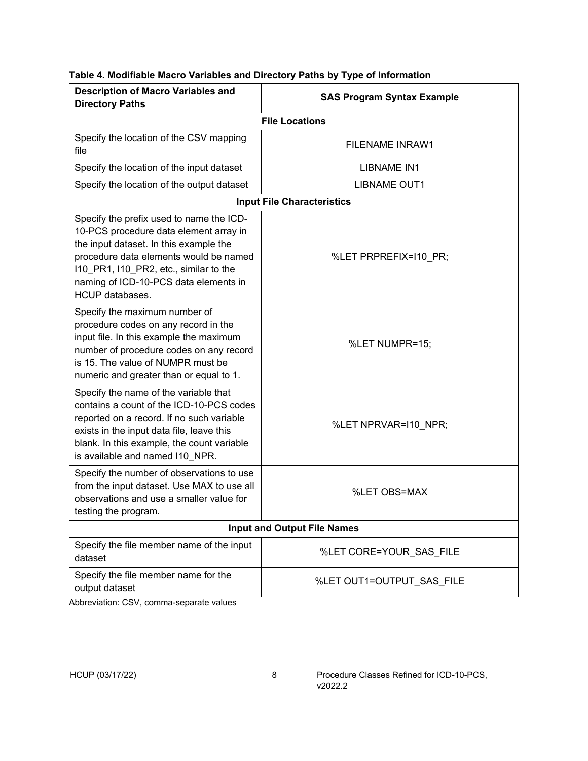<span id="page-12-0"></span>

| <b>Description of Macro Variables and</b><br><b>Directory Paths</b>                                                                                                                                                                                                                 | <b>SAS Program Syntax Example</b> |  |
|-------------------------------------------------------------------------------------------------------------------------------------------------------------------------------------------------------------------------------------------------------------------------------------|-----------------------------------|--|
|                                                                                                                                                                                                                                                                                     | <b>File Locations</b>             |  |
| Specify the location of the CSV mapping<br>file                                                                                                                                                                                                                                     | <b>FILENAME INRAW1</b>            |  |
| Specify the location of the input dataset                                                                                                                                                                                                                                           | <b>LIBNAME IN1</b>                |  |
| Specify the location of the output dataset                                                                                                                                                                                                                                          | <b>LIBNAME OUT1</b>               |  |
| <b>Input File Characteristics</b>                                                                                                                                                                                                                                                   |                                   |  |
| Specify the prefix used to name the ICD-<br>10-PCS procedure data element array in<br>the input dataset. In this example the<br>procedure data elements would be named<br>110_PR1, I10_PR2, etc., similar to the<br>naming of ICD-10-PCS data elements in<br><b>HCUP</b> databases. | %LET PRPREFIX=I10_PR;             |  |
| Specify the maximum number of<br>procedure codes on any record in the<br>input file. In this example the maximum<br>number of procedure codes on any record<br>is 15. The value of NUMPR must be<br>numeric and greater than or equal to 1.                                         | %LET NUMPR=15;                    |  |
| Specify the name of the variable that<br>contains a count of the ICD-10-PCS codes<br>reported on a record. If no such variable<br>exists in the input data file, leave this<br>blank. In this example, the count variable<br>is available and named I10 NPR.                        | %LET NPRVAR=110_NPR;              |  |
| Specify the number of observations to use<br>from the input dataset. Use MAX to use all<br>observations and use a smaller value for<br>testing the program.                                                                                                                         | %LET OBS=MAX                      |  |
| <b>Input and Output File Names</b>                                                                                                                                                                                                                                                  |                                   |  |
| Specify the file member name of the input<br>dataset                                                                                                                                                                                                                                | %LET CORE=YOUR_SAS_FILE           |  |
| Specify the file member name for the<br>output dataset                                                                                                                                                                                                                              | %LET OUT1=OUTPUT_SAS_FILE         |  |

Abbreviation: CSV, comma-separate values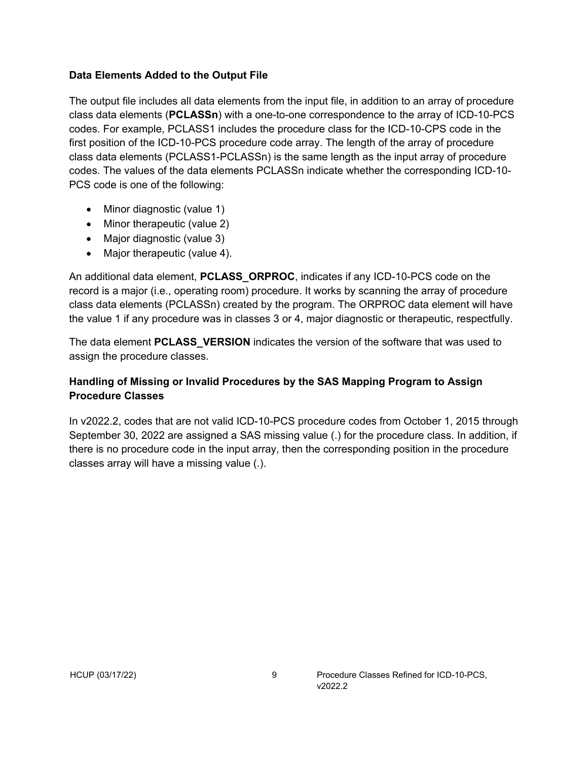#### <span id="page-13-0"></span>**Data Elements Added to the Output File**

The output file includes all data elements from the input file, in addition to an array of procedure class data elements (**PCLASSn**) with a one-to-one correspondence to the array of ICD-10-PCS codes. For example, PCLASS1 includes the procedure class for the ICD-10-CPS code in the first position of the ICD-10-PCS procedure code array. The length of the array of procedure class data elements (PCLASS1-PCLASSn) is the same length as the input array of procedure codes. The values of the data elements PCLASSn indicate whether the corresponding ICD-10- PCS code is one of the following:

- Minor diagnostic (value 1)
- Minor therapeutic (value 2)
- Major diagnostic (value 3)
- Major therapeutic (value 4).

An additional data element, **PCLASS\_ORPROC**, indicates if any ICD-10-PCS code on the record is a major (i.e., operating room) procedure. It works by scanning the array of procedure class data elements (PCLASSn) created by the program. The ORPROC data element will have the value 1 if any procedure was in classes 3 or 4, major diagnostic or therapeutic, respectfully.

The data element **PCLASS\_VERSION** indicates the version of the software that was used to assign the procedure classes.

#### <span id="page-13-1"></span>**Handling of Missing or Invalid Procedures by the SAS Mapping Program to Assign Procedure Classes**

In v2022.2, codes that are not valid ICD-10-PCS procedure codes from October 1, 2015 through September 30, 2022 are assigned a SAS missing value (.) for the procedure class. In addition, if there is no procedure code in the input array, then the corresponding position in the procedure classes array will have a missing value (.).